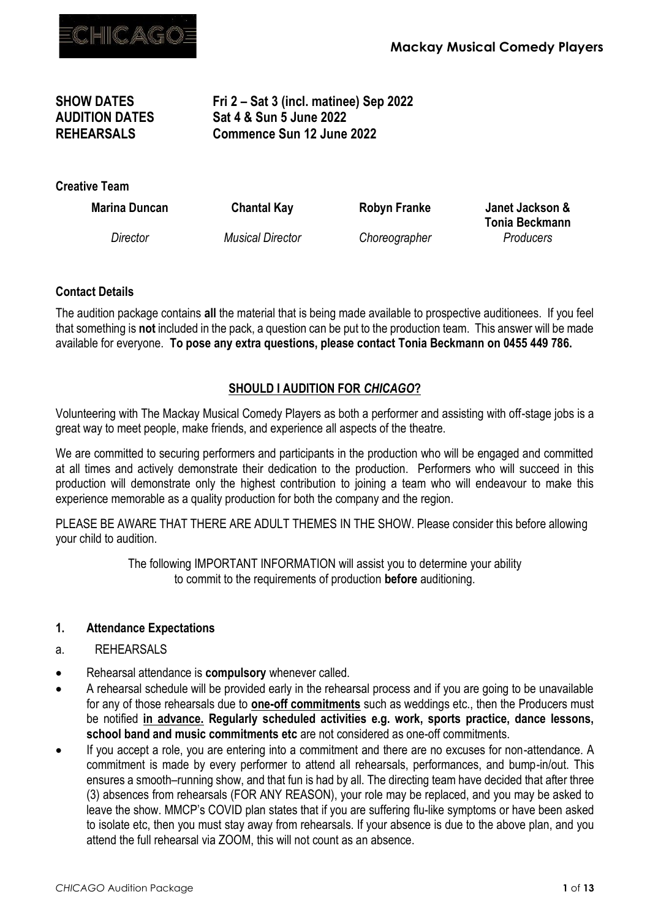

**SHOW DATES Fri 2 – Sat 3 (incl. matinee) Sep 2022 AUDITION DATES Sat 4 & Sun 5 June 2022 REHEARSALS Commence Sun 12 June 2022**

**Creative Team**

*Director Musical Director Choreographer Producers*

**Marina Duncan Chantal Kay Robyn Franke Janet Jackson & Tonia Beckmann**

## **Contact Details**

The audition package contains **all** the material that is being made available to prospective auditionees. If you feel that something is **not** included in the pack, a question can be put to the production team. This answer will be made available for everyone. **To pose any extra questions, please contact Tonia Beckmann on 0455 449 786.**

## **SHOULD I AUDITION FOR** *CHICAGO***?**

Volunteering with The Mackay Musical Comedy Players as both a performer and assisting with off-stage jobs is a great way to meet people, make friends, and experience all aspects of the theatre.

We are committed to securing performers and participants in the production who will be engaged and committed at all times and actively demonstrate their dedication to the production. Performers who will succeed in this production will demonstrate only the highest contribution to joining a team who will endeavour to make this experience memorable as a quality production for both the company and the region.

PLEASE BE AWARE THAT THERE ARE ADULT THEMES IN THE SHOW. Please consider this before allowing your child to audition.

> The following IMPORTANT INFORMATION will assist you to determine your ability to commit to the requirements of production **before** auditioning.

## **1. Attendance Expectations**

## a. REHEARSALS

- Rehearsal attendance is **compulsory** whenever called.
- A rehearsal schedule will be provided early in the rehearsal process and if you are going to be unavailable for any of those rehearsals due to **one-off commitments** such as weddings etc., then the Producers must be notified **in advance. Regularly scheduled activities e.g. work, sports practice, dance lessons, school band and music commitments etc** are not considered as one-off commitments.
- If you accept a role, you are entering into a commitment and there are no excuses for non-attendance. A commitment is made by every performer to attend all rehearsals, performances, and bump-in/out. This ensures a smooth–running show, and that fun is had by all. The directing team have decided that after three (3) absences from rehearsals (FOR ANY REASON), your role may be replaced, and you may be asked to leave the show. MMCP's COVID plan states that if you are suffering flu-like symptoms or have been asked to isolate etc, then you must stay away from rehearsals. If your absence is due to the above plan, and you attend the full rehearsal via ZOOM, this will not count as an absence.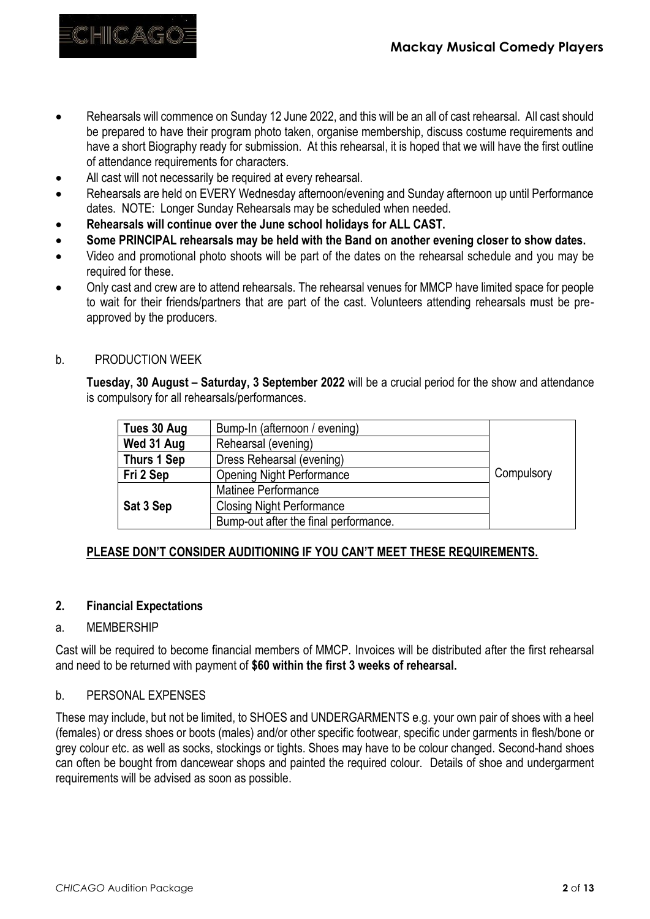

- Rehearsals will commence on Sunday 12 June 2022, and this will be an all of cast rehearsal. All cast should be prepared to have their program photo taken, organise membership, discuss costume requirements and have a short Biography ready for submission. At this rehearsal, it is hoped that we will have the first outline of attendance requirements for characters.
- All cast will not necessarily be required at every rehearsal.
- Rehearsals are held on EVERY Wednesday afternoon/evening and Sunday afternoon up until Performance dates. NOTE: Longer Sunday Rehearsals may be scheduled when needed.
- **Rehearsals will continue over the June school holidays for ALL CAST.**
- **Some PRINCIPAL rehearsals may be held with the Band on another evening closer to show dates.**
- Video and promotional photo shoots will be part of the dates on the rehearsal schedule and you may be required for these.
- Only cast and crew are to attend rehearsals. The rehearsal venues for MMCP have limited space for people to wait for their friends/partners that are part of the cast. Volunteers attending rehearsals must be preapproved by the producers.

#### b. PRODUCTION WEEK

**Tuesday, 30 August – Saturday, 3 September 2022** will be a crucial period for the show and attendance is compulsory for all rehearsals/performances.

| Tues 30 Aug                                   | Bump-In (afternoon / evening)                  |  |  |  |
|-----------------------------------------------|------------------------------------------------|--|--|--|
| Wed 31 Aug                                    | Rehearsal (evening)                            |  |  |  |
| Thurs 1 Sep                                   | Dress Rehearsal (evening)                      |  |  |  |
| Fri 2 Sep                                     | Compulsory<br><b>Opening Night Performance</b> |  |  |  |
| Matinee Performance                           |                                                |  |  |  |
| Sat 3 Sep<br><b>Closing Night Performance</b> |                                                |  |  |  |
|                                               | Bump-out after the final performance.          |  |  |  |

## **PLEASE DON'T CONSIDER AUDITIONING IF YOU CAN'T MEET THESE REQUIREMENTS.**

## **2. Financial Expectations**

## a. MEMBERSHIP

Cast will be required to become financial members of MMCP. Invoices will be distributed after the first rehearsal and need to be returned with payment of **\$60 within the first 3 weeks of rehearsal.**

## b. PERSONAL EXPENSES

These may include, but not be limited, to SHOES and UNDERGARMENTS e.g. your own pair of shoes with a heel (females) or dress shoes or boots (males) and/or other specific footwear, specific under garments in flesh/bone or grey colour etc. as well as socks, stockings or tights. Shoes may have to be colour changed. Second-hand shoes can often be bought from dancewear shops and painted the required colour. Details of shoe and undergarment requirements will be advised as soon as possible.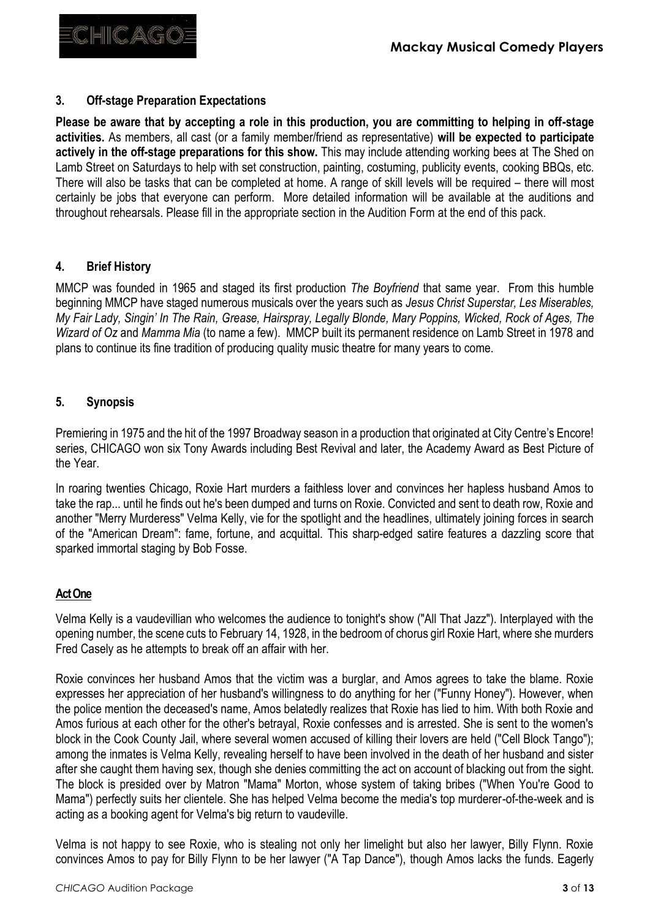

#### **3. Off-stage Preparation Expectations**

**Please be aware that by accepting a role in this production, you are committing to helping in off-stage activities.** As members, all cast (or a family member/friend as representative) **will be expected to participate actively in the off-stage preparations for this show.** This may include attending working bees at The Shed on Lamb Street on Saturdays to help with set construction, painting, costuming, publicity events, cooking BBQs, etc. There will also be tasks that can be completed at home. A range of skill levels will be required – there will most certainly be jobs that everyone can perform. More detailed information will be available at the auditions and throughout rehearsals. Please fill in the appropriate section in the Audition Form at the end of this pack.

#### **4. Brief History**

MMCP was founded in 1965 and staged its first production *The Boyfriend* that same year. From this humble beginning MMCP have staged numerous musicals over the years such as *Jesus Christ Superstar, Les Miserables, My Fair Lady, Singin' In The Rain, Grease, Hairspray, Legally Blonde, Mary Poppins, Wicked, Rock of Ages, The Wizard of Oz* and *Mamma Mia* (to name a few). MMCP built its permanent residence on Lamb Street in 1978 and plans to continue its fine tradition of producing quality music theatre for many years to come.

#### **5. Synopsis**

Premiering in 1975 and the hit of the 1997 Broadway season in a production that originated at City Centre's Encore! series, CHICAGO won six Tony Awards including Best Revival and later, the Academy Award as Best Picture of the Year.

In roaring twenties Chicago, Roxie Hart murders a faithless lover and convinces her hapless husband Amos to take the rap... until he finds out he's been dumped and turns on Roxie. Convicted and sent to death row, Roxie and another "Merry Murderess" Velma Kelly, vie for the spotlight and the headlines, ultimately joining forces in search of the "American Dream": fame, fortune, and acquittal. This sharp-edged satire features a dazzling score that sparked immortal staging by Bob Fosse.

## **Act One**

Velma Kelly is a vaudevillian who welcomes the audience to tonight's show ("All That Jazz"). Interplayed with the opening number, the scene cuts to February 14, 1928, in the bedroom of chorus girl Roxie Hart, where she murders Fred Casely as he attempts to break off an affair with her.

Roxie convinces her husband Amos that the victim was a burglar, and Amos agrees to take the blame. Roxie expresses her appreciation of her husband's willingness to do anything for her ("Funny Honey"). However, when the police mention the deceased's name, Amos belatedly realizes that Roxie has lied to him. With both Roxie and Amos furious at each other for the other's betrayal, Roxie confesses and is arrested. She is sent to the women's block in the Cook County Jail, where several women accused of killing their lovers are held ("Cell Block Tango"); among the inmates is Velma Kelly, revealing herself to have been involved in the death of her husband and sister after she caught them having sex, though she denies committing the act on account of blacking out from the sight. The block is presided over by Matron "Mama" Morton, whose system of taking bribes ("When You're Good to Mama") perfectly suits her clientele. She has helped Velma become the media's top murderer-of-the-week and is acting as a booking agent for Velma's big return to vaudeville.

Velma is not happy to see Roxie, who is stealing not only her limelight but also her lawyer, Billy Flynn. Roxie convinces Amos to pay for Billy Flynn to be her lawyer ("A Tap Dance"), though Amos lacks the funds. Eagerly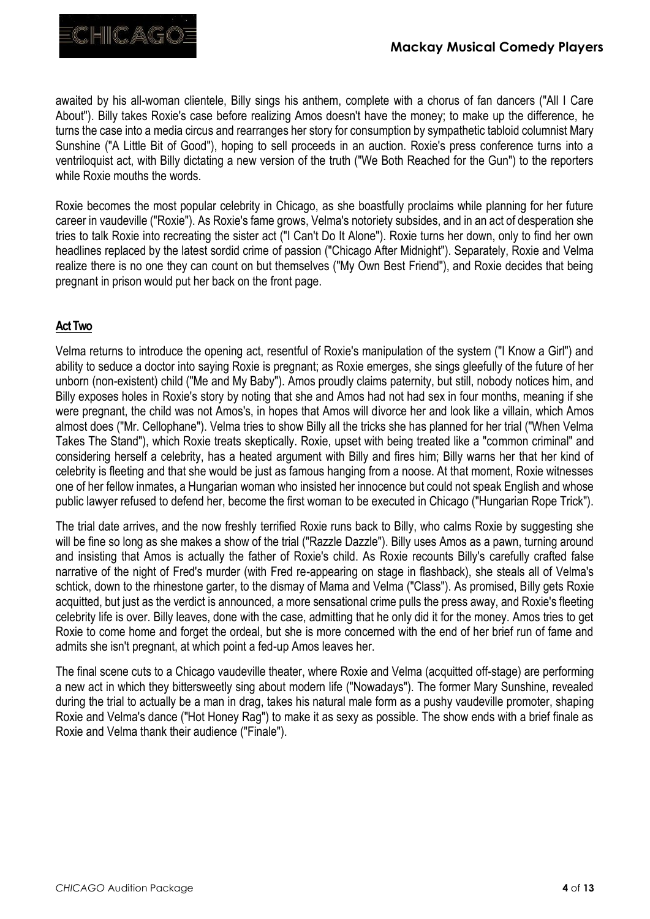

awaited by his all-woman clientele, Billy sings his anthem, complete with a chorus of fan dancers ("All I Care About"). Billy takes Roxie's case before realizing Amos doesn't have the money; to make up the difference, he turns the case into a media circus and rearranges her story for consumption by sympathetic tabloid columnist Mary Sunshine ("A Little Bit of Good"), hoping to sell proceeds in an auction. Roxie's press conference turns into a ventriloquist act, with Billy dictating a new version of the truth ("We Both Reached for the Gun") to the reporters while Roxie mouths the words.

Roxie becomes the most popular celebrity in Chicago, as she boastfully proclaims while planning for her future career in vaudeville ("Roxie"). As Roxie's fame grows, Velma's notoriety subsides, and in an act of desperation she tries to talk Roxie into recreating the sister act ("I Can't Do It Alone"). Roxie turns her down, only to find her own headlines replaced by the latest sordid crime of passion ("Chicago After Midnight"). Separately, Roxie and Velma realize there is no one they can count on but themselves ("My Own Best Friend"), and Roxie decides that being pregnant in prison would put her back on the front page.

## **Act Two**

Velma returns to introduce the opening act, resentful of Roxie's manipulation of the system ("I Know a Girl") and ability to seduce a doctor into saying Roxie is pregnant; as Roxie emerges, she sings gleefully of the future of her unborn (non-existent) child ("Me and My Baby"). Amos proudly claims paternity, but still, nobody notices him, and Billy exposes holes in Roxie's story by noting that she and Amos had not had sex in four months, meaning if she were pregnant, the child was not Amos's, in hopes that Amos will divorce her and look like a villain, which Amos almost does ("Mr. Cellophane"). Velma tries to show Billy all the tricks she has planned for her trial ("When Velma Takes The Stand"), which Roxie treats skeptically. Roxie, upset with being treated like a "common criminal" and considering herself a celebrity, has a heated argument with Billy and fires him; Billy warns her that her kind of celebrity is fleeting and that she would be just as famous hanging from a noose. At that moment, Roxie witnesses one of her fellow inmates, a Hungarian woman who insisted her innocence but could not speak English and whose public lawyer refused to defend her, become the first woman to be executed in Chicago ("Hungarian Rope Trick").

The trial date arrives, and the now freshly terrified Roxie runs back to Billy, who calms Roxie by suggesting she will be fine so long as she makes a show of the trial ("Razzle Dazzle"). Billy uses Amos as a pawn, turning around and insisting that Amos is actually the father of Roxie's child. As Roxie recounts Billy's carefully crafted false narrative of the night of Fred's murder (with Fred re-appearing on stage in flashback), she steals all of Velma's schtick, down to the rhinestone garter, to the dismay of Mama and Velma ("Class"). As promised, Billy gets Roxie acquitted, but just as the verdict is announced, a more sensational crime pulls the press away, and Roxie's fleeting celebrity life is over. Billy leaves, done with the case, admitting that he only did it for the money. Amos tries to get Roxie to come home and forget the ordeal, but she is more concerned with the end of her brief run of fame and admits she isn't pregnant, at which point a fed-up Amos leaves her.

The final scene cuts to a Chicago vaudeville theater, where Roxie and Velma (acquitted off-stage) are performing a new act in which they bittersweetly sing about modern life ("Nowadays"). The former Mary Sunshine, revealed during the trial to actually be a man in drag, takes his natural male form as a pushy vaudeville promoter, shaping Roxie and Velma's dance ("Hot Honey Rag") to make it as sexy as possible. The show ends with a brief finale as Roxie and Velma thank their audience ("Finale").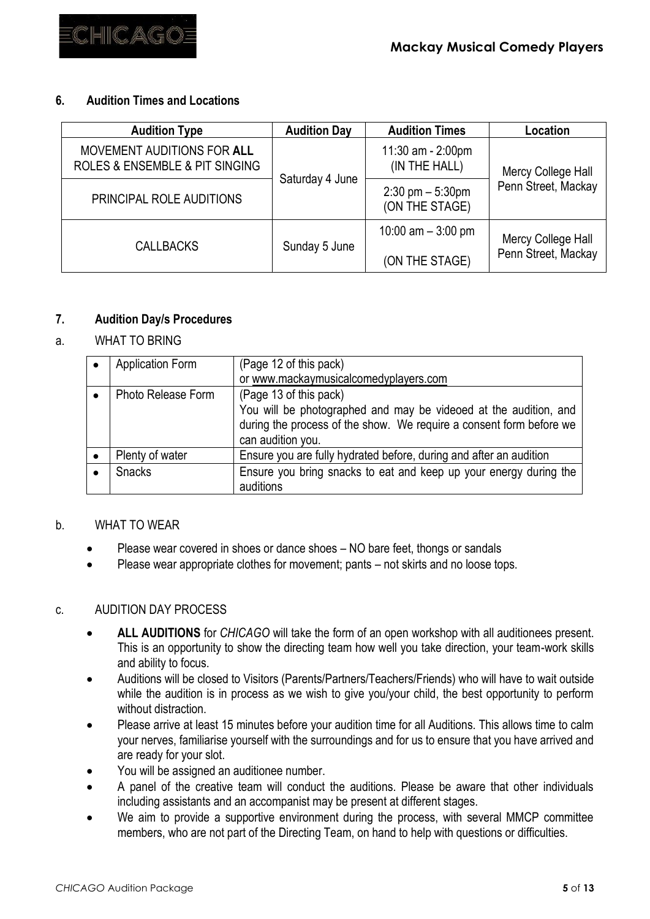

## **6. Audition Times and Locations**

| <b>Audition Type</b>                                         | <b>Audition Day</b> | <b>Audition Times</b>                  | Location                                  |  |
|--------------------------------------------------------------|---------------------|----------------------------------------|-------------------------------------------|--|
| MOVEMENT AUDITIONS FOR ALL<br>ROLES & ENSEMBLE & PIT SINGING |                     | 11:30 am - 2:00pm<br>(IN THE HALL)     | Mercy College Hall                        |  |
| <b>PRINCIPAL ROLE AUDITIONS</b>                              | Saturday 4 June     | $2:30$ pm $-5:30$ pm<br>(ON THE STAGE) | Penn Street, Mackay                       |  |
| <b>CALLBACKS</b>                                             | Sunday 5 June       | 10:00 $am - 3:00$ pm<br>(ON THE STAGE) | Mercy College Hall<br>Penn Street, Mackay |  |

## **7. Audition Day/s Procedures**

## a. WHAT TO BRING

| <b>Application Form</b>   | (Page 12 of this pack)                                                                                                                                       |
|---------------------------|--------------------------------------------------------------------------------------------------------------------------------------------------------------|
|                           | or www.mackaymusicalcomedyplayers.com                                                                                                                        |
| <b>Photo Release Form</b> | (Page 13 of this pack)                                                                                                                                       |
|                           | You will be photographed and may be videoed at the audition, and<br>during the process of the show. We require a consent form before we<br>can audition you. |
| Plenty of water           | Ensure you are fully hydrated before, during and after an audition                                                                                           |
| <b>Snacks</b>             | Ensure you bring snacks to eat and keep up your energy during the<br>auditions                                                                               |

## b. WHAT TO WEAR

- Please wear covered in shoes or dance shoes NO bare feet, thongs or sandals
- Please wear appropriate clothes for movement; pants not skirts and no loose tops.

## c. AUDITION DAY PROCESS

- **ALL AUDITIONS** for *CHICAGO* will take the form of an open workshop with all auditionees present. This is an opportunity to show the directing team how well you take direction, your team-work skills and ability to focus.
- Auditions will be closed to Visitors (Parents/Partners/Teachers/Friends) who will have to wait outside while the audition is in process as we wish to give you/your child, the best opportunity to perform without distraction.
- Please arrive at least 15 minutes before your audition time for all Auditions. This allows time to calm your nerves, familiarise yourself with the surroundings and for us to ensure that you have arrived and are ready for your slot.
- You will be assigned an auditionee number.
- A panel of the creative team will conduct the auditions. Please be aware that other individuals including assistants and an accompanist may be present at different stages.
- We aim to provide a supportive environment during the process, with several MMCP committee members, who are not part of the Directing Team, on hand to help with questions or difficulties.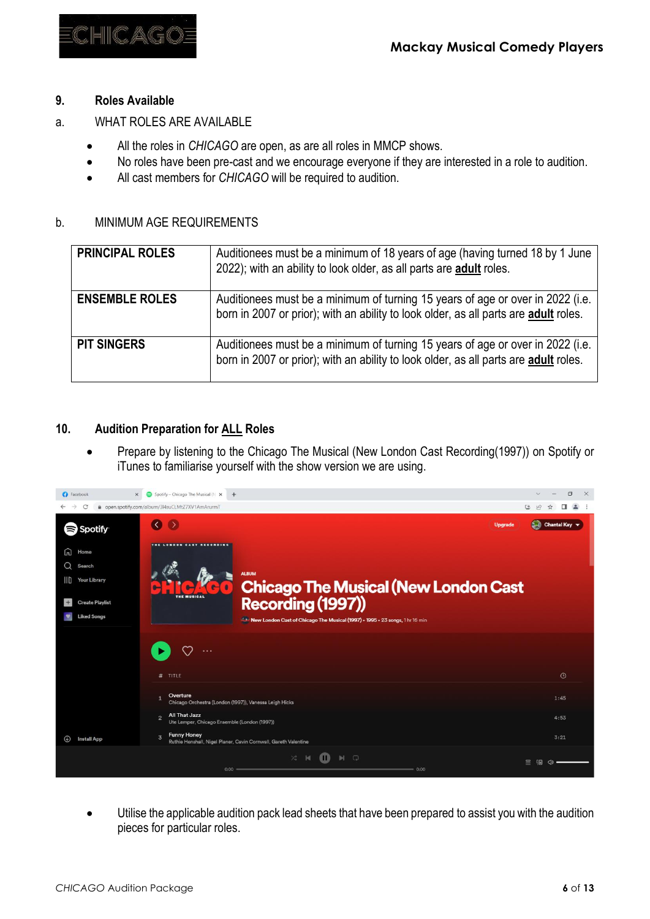

## **9. Roles Available**

- a. WHAT ROLES ARE AVAILABLE
	- All the roles in *CHICAGO* are open, as are all roles in MMCP shows.
	- No roles have been pre-cast and we encourage everyone if they are interested in a role to audition.
	- All cast members for *CHICAGO* will be required to audition.

## b. MINIMUM AGE REQUIREMENTS

| <b>PRINCIPAL ROLES</b> | Auditionees must be a minimum of 18 years of age (having turned 18 by 1 June<br>2022); with an ability to look older, as all parts are adult roles.                    |
|------------------------|------------------------------------------------------------------------------------------------------------------------------------------------------------------------|
| <b>ENSEMBLE ROLES</b>  | Auditionees must be a minimum of turning 15 years of age or over in 2022 (i.e.<br>born in 2007 or prior); with an ability to look older, as all parts are adult roles. |
| <b>PIT SINGERS</b>     | Auditionees must be a minimum of turning 15 years of age or over in 2022 (i.e.<br>born in 2007 or prior); with an ability to look older, as all parts are adult roles. |

## **10. Audition Preparation for ALL Roles**

• Prepare by listening to the Chicago The Musical (New London Cast Recording(1997)) on Spotify or iTunes to familiarise yourself with the show version we are using.



• Utilise the applicable audition pack lead sheets that have been prepared to assist you with the audition pieces for particular roles.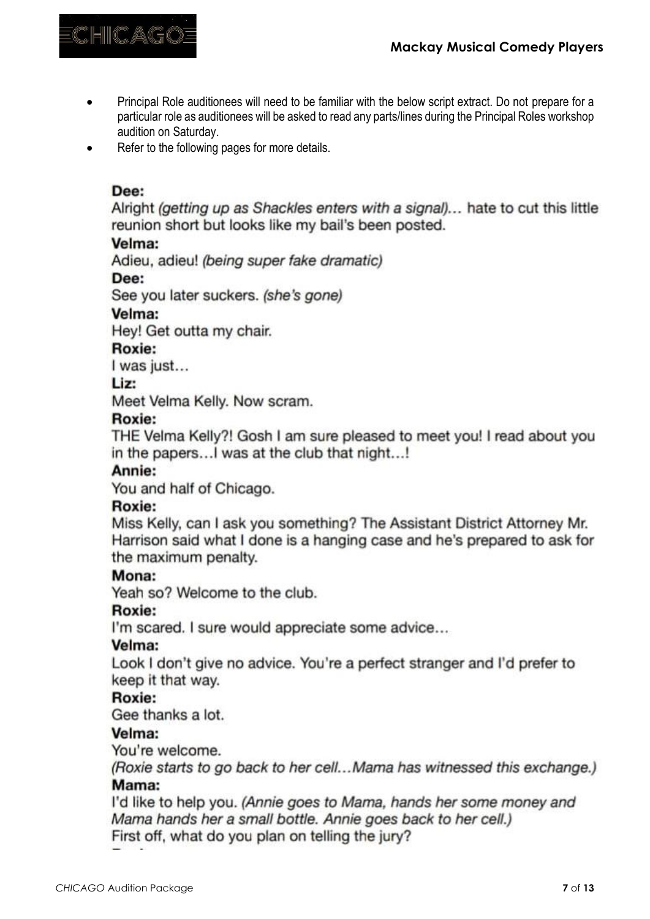

- Principal Role auditionees will need to be familiar with the below script extract. Do not prepare for a particular role as auditionees will be asked to read any parts/lines during the Principal Roles workshop audition on Saturday.
- Refer to the following pages for more details.

# Dee:

Alright (getting up as Shackles enters with a signal)... hate to cut this little reunion short but looks like my bail's been posted.

# Velma:

Adieu, adieu! (being super fake dramatic)

## Dee:

See you later suckers. (she's gone)

# Velma:

Hey! Get outta my chair.

## Roxie:

I was just...

## Liz:

Meet Velma Kelly. Now scram.

# Roxie:

THE Velma Kelly?! Gosh I am sure pleased to meet you! I read about you in the papers... I was at the club that night...!

## Annie:

You and half of Chicago.

# Roxie:

Miss Kelly, can I ask you something? The Assistant District Attorney Mr. Harrison said what I done is a hanging case and he's prepared to ask for the maximum penalty.

# Mona:

Yeah so? Welcome to the club.

# Roxie:

I'm scared. I sure would appreciate some advice...

# Velma:

Look I don't give no advice. You're a perfect stranger and I'd prefer to keep it that way.

# Roxie:

Gee thanks a lot.

# Velma:

You're welcome.

(Roxie starts to go back to her cell...Mama has witnessed this exchange.) Mama:

I'd like to help you. (Annie goes to Mama, hands her some money and Mama hands her a small bottle. Annie goes back to her cell.) First off, what do you plan on telling the jury?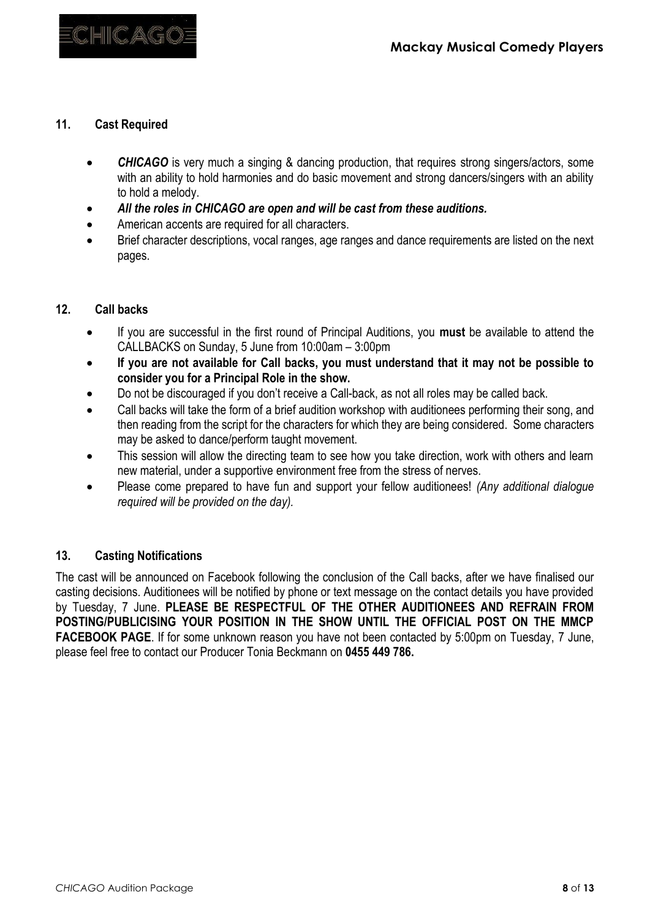## **11. Cast Required**

- **CHICAGO** is very much a singing & dancing production, that requires strong singers/actors, some with an ability to hold harmonies and do basic movement and strong dancers/singers with an ability to hold a melody.
- *All the roles in CHICAGO are open and will be cast from these auditions.*
- American accents are required for all characters.
- Brief character descriptions, vocal ranges, age ranges and dance requirements are listed on the next pages.

## **12. Call backs**

- If you are successful in the first round of Principal Auditions, you **must** be available to attend the CALLBACKS on Sunday, 5 June from 10:00am – 3:00pm
- **If you are not available for Call backs, you must understand that it may not be possible to consider you for a Principal Role in the show.**
- Do not be discouraged if you don't receive a Call-back, as not all roles may be called back.
- Call backs will take the form of a brief audition workshop with auditionees performing their song, and then reading from the script for the characters for which they are being considered. Some characters may be asked to dance/perform taught movement.
- This session will allow the directing team to see how you take direction, work with others and learn new material, under a supportive environment free from the stress of nerves.
- Please come prepared to have fun and support your fellow auditionees! *(Any additional dialogue required will be provided on the day).*

## **13. Casting Notifications**

The cast will be announced on Facebook following the conclusion of the Call backs, after we have finalised our casting decisions. Auditionees will be notified by phone or text message on the contact details you have provided by Tuesday, 7 June. **PLEASE BE RESPECTFUL OF THE OTHER AUDITIONEES AND REFRAIN FROM POSTING/PUBLICISING YOUR POSITION IN THE SHOW UNTIL THE OFFICIAL POST ON THE MMCP FACEBOOK PAGE**. If for some unknown reason you have not been contacted by 5:00pm on Tuesday, 7 June, please feel free to contact our Producer Tonia Beckmann on **0455 449 786.**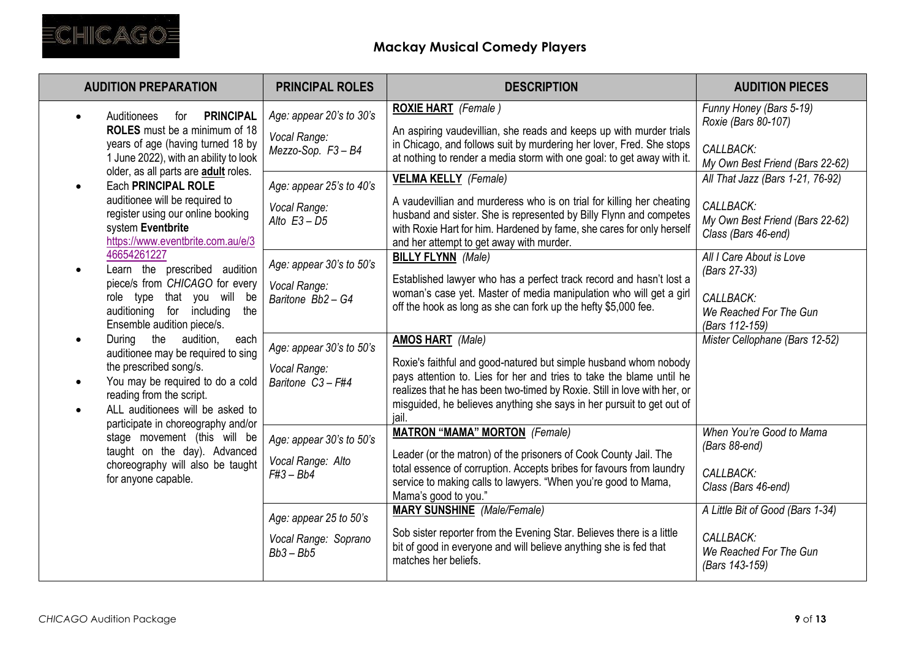

| <b>AUDITION PREPARATION</b>                                                                                                                                                                                | <b>PRINCIPAL ROLES</b>                                        | <b>DESCRIPTION</b>                                                                                                                                                                                                                                                                                                                | <b>AUDITION PIECES</b>                                                                                  |
|------------------------------------------------------------------------------------------------------------------------------------------------------------------------------------------------------------|---------------------------------------------------------------|-----------------------------------------------------------------------------------------------------------------------------------------------------------------------------------------------------------------------------------------------------------------------------------------------------------------------------------|---------------------------------------------------------------------------------------------------------|
| <b>PRINCIPAL</b><br>Auditionees<br>for<br><b>ROLES</b> must be a minimum of 18<br>years of age (having turned 18 by<br>1 June 2022), with an ability to look                                               | Age: appear 20's to 30's<br>Vocal Range:<br>Mezzo-Sop. F3-B4  | <b>ROXIE HART</b> (Female)<br>An aspiring vaudevillian, she reads and keeps up with murder trials<br>in Chicago, and follows suit by murdering her lover, Fred. She stops<br>at nothing to render a media storm with one goal: to get away with it.                                                                               | Funny Honey (Bars 5-19)<br>Roxie (Bars 80-107)<br>CALLBACK:<br>My Own Best Friend (Bars 22-62)          |
| older, as all parts are <b>adult</b> roles.<br><b>Each PRINCIPAL ROLE</b><br>auditionee will be required to<br>register using our online booking<br>system Eventbrite<br>https://www.eventbrite.com.au/e/3 | Age: appear 25's to 40's<br>Vocal Range:<br>Alto $E3 - D5$    | <b>VELMA KELLY</b> (Female)<br>A vaudevillian and murderess who is on trial for killing her cheating<br>husband and sister. She is represented by Billy Flynn and competes<br>with Roxie Hart for him. Hardened by fame, she cares for only herself<br>and her attempt to get away with murder.                                   | All That Jazz (Bars 1-21, 76-92)<br>CALLBACK:<br>My Own Best Friend (Bars 22-62)<br>Class (Bars 46-end) |
| 46654261227<br>Learn the prescribed audition<br>piece/s from CHICAGO for every<br>role type that you will<br>be<br>auditioning for including<br>the<br>Ensemble audition piece/s.                          | Age: appear 30's to 50's<br>Vocal Range:<br>Baritone Bb2 - G4 | <b>BILLY FLYNN</b> (Male)<br>Established lawyer who has a perfect track record and hasn't lost a<br>woman's case yet. Master of media manipulation who will get a girl<br>off the hook as long as she can fork up the hefty \$5,000 fee.                                                                                          | All I Care About is Love<br>(Bars 27-33)<br>CALLBACK:<br>We Reached For The Gun<br>(Bars 112-159)       |
| During the audition,<br>each<br>auditionee may be required to sing<br>the prescribed song/s.<br>You may be required to do a cold<br>reading from the script.<br>ALL auditionees will be asked to           | Age: appear 30's to 50's<br>Vocal Range:<br>Baritone C3 - F#4 | <b>AMOS HART</b> (Male)<br>Roxie's faithful and good-natured but simple husband whom nobody<br>pays attention to. Lies for her and tries to take the blame until he<br>realizes that he has been two-timed by Roxie. Still in love with her, or<br>misguided, he believes anything she says in her pursuit to get out of<br>iail. | Mister Cellophane (Bars 12-52)                                                                          |
| participate in choreography and/or<br>stage movement (this will be<br>taught on the day). Advanced<br>choreography will also be taught<br>for anyone capable.                                              | Age: appear 30's to 50's<br>Vocal Range: Alto<br>$F#3 - Bb4$  | <b>MATRON "MAMA" MORTON (Female)</b><br>Leader (or the matron) of the prisoners of Cook County Jail. The<br>total essence of corruption. Accepts bribes for favours from laundry<br>service to making calls to lawyers. "When you're good to Mama,<br>Mama's good to you."                                                        | When You're Good to Mama<br>(Bars 88-end)<br>CALLBACK:<br>Class (Bars 46-end)                           |
|                                                                                                                                                                                                            | Age: appear 25 to 50's<br>Vocal Range: Soprano<br>$Bb3 - Bb5$ | <b>MARY SUNSHINE</b> (Male/Female)<br>Sob sister reporter from the Evening Star. Believes there is a little<br>bit of good in everyone and will believe anything she is fed that<br>matches her beliefs.                                                                                                                          | A Little Bit of Good (Bars 1-34)<br>CALLBACK:<br>We Reached For The Gun<br>(Bars 143-159)               |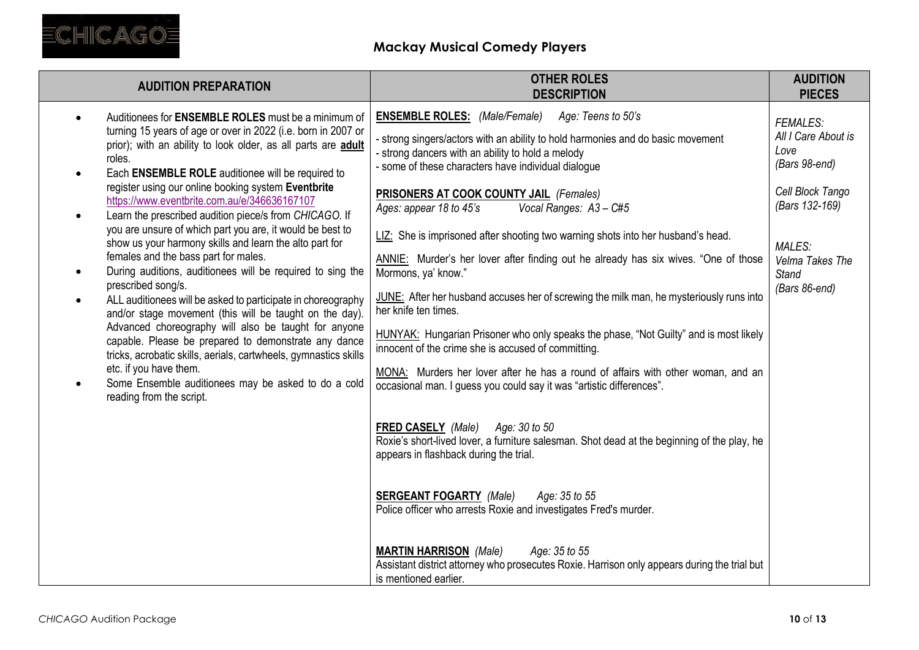

| <b>AUDITION PREPARATION</b>                                                                                                                                                                                                                                                                                                                                                                                                                                                                                                                                                                                                                                                                                                                                                                                                                                                                                                                                                                                                                                                                                                            | <b>OTHER ROLES</b><br><b>DESCRIPTION</b>                                                                                                                                                                                                                                                                                                                                                                                                                                                                                                                                                                                                                                                                                                                                                                                                                                                                                                                                                                                                                                                                                                                                                                                                                                                                                                                                                                                                                                                   | <b>AUDITION</b><br><b>PIECES</b>                                                                                                                                    |
|----------------------------------------------------------------------------------------------------------------------------------------------------------------------------------------------------------------------------------------------------------------------------------------------------------------------------------------------------------------------------------------------------------------------------------------------------------------------------------------------------------------------------------------------------------------------------------------------------------------------------------------------------------------------------------------------------------------------------------------------------------------------------------------------------------------------------------------------------------------------------------------------------------------------------------------------------------------------------------------------------------------------------------------------------------------------------------------------------------------------------------------|--------------------------------------------------------------------------------------------------------------------------------------------------------------------------------------------------------------------------------------------------------------------------------------------------------------------------------------------------------------------------------------------------------------------------------------------------------------------------------------------------------------------------------------------------------------------------------------------------------------------------------------------------------------------------------------------------------------------------------------------------------------------------------------------------------------------------------------------------------------------------------------------------------------------------------------------------------------------------------------------------------------------------------------------------------------------------------------------------------------------------------------------------------------------------------------------------------------------------------------------------------------------------------------------------------------------------------------------------------------------------------------------------------------------------------------------------------------------------------------------|---------------------------------------------------------------------------------------------------------------------------------------------------------------------|
| Auditionees for <b>ENSEMBLE ROLES</b> must be a minimum of<br>turning 15 years of age or over in 2022 (i.e. born in 2007 or<br>prior); with an ability to look older, as all parts are adult<br>roles.<br>Each ENSEMBLE ROLE auditionee will be required to<br>$\bullet$<br>register using our online booking system Eventbrite<br>https://www.eventbrite.com.au/e/346636167107<br>Learn the prescribed audition piece/s from CHICAGO. If<br>you are unsure of which part you are, it would be best to<br>show us your harmony skills and learn the alto part for<br>females and the bass part for males.<br>During auditions, auditionees will be required to sing the<br>prescribed song/s.<br>ALL auditionees will be asked to participate in choreography<br>$\bullet$<br>and/or stage movement (this will be taught on the day).<br>Advanced choreography will also be taught for anyone<br>capable. Please be prepared to demonstrate any dance<br>tricks, acrobatic skills, aerials, cartwheels, gymnastics skills<br>etc. if you have them.<br>Some Ensemble auditionees may be asked to do a cold<br>reading from the script. | <b>ENSEMBLE ROLES:</b> (Male/Female)<br>Age: Teens to 50's<br>- strong singers/actors with an ability to hold harmonies and do basic movement<br>- strong dancers with an ability to hold a melody<br>- some of these characters have individual dialogue<br><b>PRISONERS AT COOK COUNTY JAIL</b> (Females)<br>Ages: appear 18 to 45's<br>Vocal Ranges: A3 - C#5<br>LIZ: She is imprisoned after shooting two warning shots into her husband's head.<br>ANNIE: Murder's her lover after finding out he already has six wives. "One of those<br>Mormons, ya' know."<br>JUNE: After her husband accuses her of screwing the milk man, he mysteriously runs into<br>her knife ten times.<br>HUNYAK: Hungarian Prisoner who only speaks the phase, "Not Guilty" and is most likely<br>innocent of the crime she is accused of committing.<br>MONA: Murders her lover after he has a round of affairs with other woman, and an<br>occasional man. I quess you could say it was "artistic differences".<br><b>FRED CASELY (Male)</b><br>Age: 30 to 50<br>Roxie's short-lived lover, a furniture salesman. Shot dead at the beginning of the play, he<br>appears in flashback during the trial.<br><b>SERGEANT FOGARTY (Male)</b><br>Age: 35 to 55<br>Police officer who arrests Roxie and investigates Fred's murder.<br><b>MARTIN HARRISON</b> (Male)<br>Age: 35 to 55<br>Assistant district attorney who prosecutes Roxie. Harrison only appears during the trial but<br>is mentioned earlier. | <b>FEMALES:</b><br>All I Care About is<br>Love<br>(Bars 98-end)<br>Cell Block Tango<br>(Bars 132-169)<br>MALES:<br>Velma Takes The<br><b>Stand</b><br>(Bars 86-end) |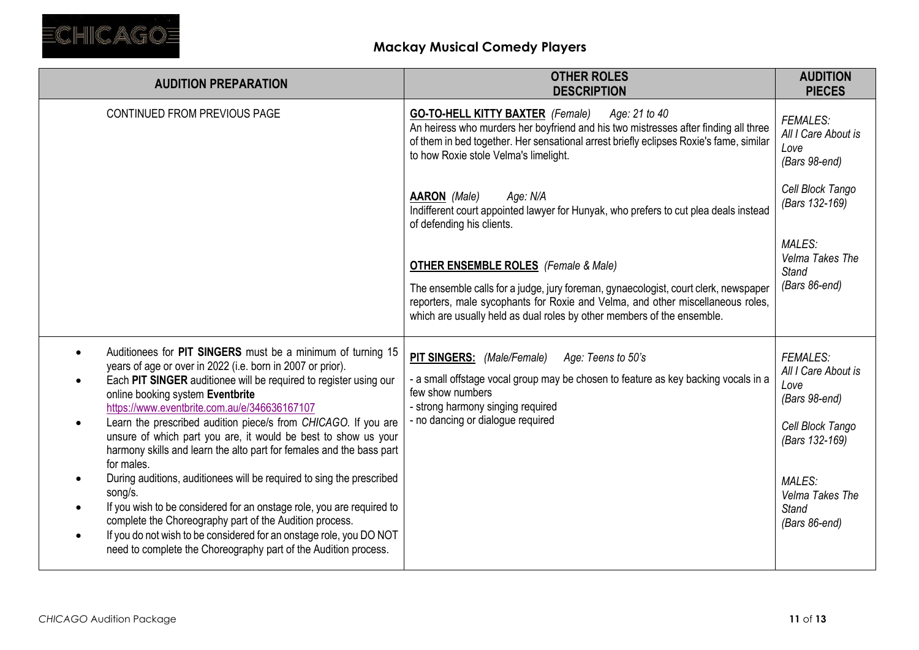

| <b>AUDITION PREPARATION</b>                                                                                                                                                                                                                                                                                                                                                                                                                                                                                                                         | <b>OTHER ROLES</b><br><b>DESCRIPTION</b>                                                                                                                                                                                                                                                       | <b>AUDITION</b><br><b>PIECES</b>                                                                      |
|-----------------------------------------------------------------------------------------------------------------------------------------------------------------------------------------------------------------------------------------------------------------------------------------------------------------------------------------------------------------------------------------------------------------------------------------------------------------------------------------------------------------------------------------------------|------------------------------------------------------------------------------------------------------------------------------------------------------------------------------------------------------------------------------------------------------------------------------------------------|-------------------------------------------------------------------------------------------------------|
| CONTINUED FROM PREVIOUS PAGE                                                                                                                                                                                                                                                                                                                                                                                                                                                                                                                        | <b>GO-TO-HELL KITTY BAXTER</b> (Female)<br>Age: 21 to 40<br>An heiress who murders her boyfriend and his two mistresses after finding all three<br>of them in bed together. Her sensational arrest briefly eclipses Roxie's fame, similar<br>to how Roxie stole Velma's limelight.             | <b>FEMALES:</b><br>All I Care About is<br>Love<br>(Bars 98-end)                                       |
|                                                                                                                                                                                                                                                                                                                                                                                                                                                                                                                                                     | <b>AARON</b> (Male)<br>Age: N/A<br>Indifferent court appointed lawyer for Hunyak, who prefers to cut plea deals instead<br>of defending his clients.                                                                                                                                           | Cell Block Tango<br>(Bars 132-169)                                                                    |
|                                                                                                                                                                                                                                                                                                                                                                                                                                                                                                                                                     | <b>OTHER ENSEMBLE ROLES</b> (Female & Male)<br>The ensemble calls for a judge, jury foreman, gynaecologist, court clerk, newspaper<br>reporters, male sycophants for Roxie and Velma, and other miscellaneous roles,<br>which are usually held as dual roles by other members of the ensemble. | MALES:<br>Velma Takes The<br><b>Stand</b><br>(Bars 86-end)                                            |
| Auditionees for PIT SINGERS must be a minimum of turning 15<br>$\bullet$<br>years of age or over in 2022 (i.e. born in 2007 or prior).<br>Each PIT SINGER auditionee will be required to register using our<br>$\bullet$<br>online booking system Eventbrite<br>https://www.eventbrite.com.au/e/346636167107<br>Learn the prescribed audition piece/s from CHICAGO. If you are<br>$\bullet$<br>unsure of which part you are, it would be best to show us your<br>harmony skills and learn the alto part for females and the bass part<br>for males. | PIT SINGERS: (Male/Female)<br>Age: Teens to 50's<br>- a small offstage vocal group may be chosen to feature as key backing vocals in a<br>few show numbers<br>- strong harmony singing required<br>- no dancing or dialogue required                                                           | <b>FEMALES:</b><br>All I Care About is<br>Love<br>(Bars 98-end)<br>Cell Block Tango<br>(Bars 132-169) |
| During auditions, auditionees will be required to sing the prescribed<br>song/s.<br>If you wish to be considered for an onstage role, you are required to<br>complete the Choreography part of the Audition process.<br>If you do not wish to be considered for an onstage role, you DO NOT<br>$\bullet$<br>need to complete the Choreography part of the Audition process.                                                                                                                                                                         |                                                                                                                                                                                                                                                                                                | MALES:<br>Velma Takes The<br><b>Stand</b><br>(Bars 86-end)                                            |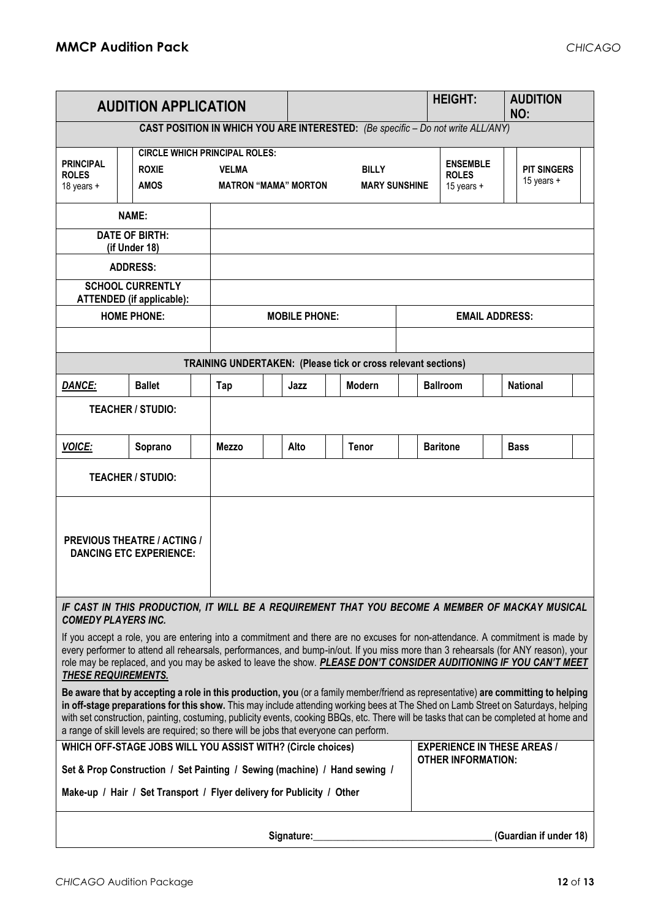| <b>AUDITION APPLICATION</b>                                                                                                                                                                                                                                                                                                                                                                                                                                                                                |                                                                                                                               |  |                                                                                     |  |                      |  | <b>HEIGHT:</b>                                                       |                                                 | <b>AUDITION</b><br>NO:             |                                  |  |
|------------------------------------------------------------------------------------------------------------------------------------------------------------------------------------------------------------------------------------------------------------------------------------------------------------------------------------------------------------------------------------------------------------------------------------------------------------------------------------------------------------|-------------------------------------------------------------------------------------------------------------------------------|--|-------------------------------------------------------------------------------------|--|----------------------|--|----------------------------------------------------------------------|-------------------------------------------------|------------------------------------|----------------------------------|--|
| CAST POSITION IN WHICH YOU ARE INTERESTED: (Be specific - Do not write ALL/ANY)                                                                                                                                                                                                                                                                                                                                                                                                                            |                                                                                                                               |  |                                                                                     |  |                      |  |                                                                      |                                                 |                                    |                                  |  |
| <b>PRINCIPAL</b><br><b>ROLES</b><br>18 years +                                                                                                                                                                                                                                                                                                                                                                                                                                                             | <b>ROXIE</b><br><b>AMOS</b>                                                                                                   |  | <b>CIRCLE WHICH PRINCIPAL ROLES:</b><br><b>VELMA</b><br><b>MATRON "MAMA" MORTON</b> |  |                      |  | <b>BILLY</b><br><b>MARY SUNSHINE</b>                                 | <b>ENSEMBLE</b><br><b>ROLES</b><br>15 years $+$ |                                    | <b>PIT SINGERS</b><br>15 years + |  |
|                                                                                                                                                                                                                                                                                                                                                                                                                                                                                                            | <b>NAME:</b>                                                                                                                  |  |                                                                                     |  |                      |  |                                                                      |                                                 |                                    |                                  |  |
|                                                                                                                                                                                                                                                                                                                                                                                                                                                                                                            | <b>DATE OF BIRTH:</b><br>(if Under 18)                                                                                        |  |                                                                                     |  |                      |  |                                                                      |                                                 |                                    |                                  |  |
|                                                                                                                                                                                                                                                                                                                                                                                                                                                                                                            | <b>ADDRESS:</b>                                                                                                               |  |                                                                                     |  |                      |  |                                                                      |                                                 |                                    |                                  |  |
|                                                                                                                                                                                                                                                                                                                                                                                                                                                                                                            | <b>SCHOOL CURRENTLY</b><br><b>ATTENDED</b> (if applicable):                                                                   |  |                                                                                     |  |                      |  |                                                                      |                                                 |                                    |                                  |  |
|                                                                                                                                                                                                                                                                                                                                                                                                                                                                                                            | <b>HOME PHONE:</b>                                                                                                            |  |                                                                                     |  | <b>MOBILE PHONE:</b> |  |                                                                      |                                                 |                                    | <b>EMAIL ADDRESS:</b>            |  |
|                                                                                                                                                                                                                                                                                                                                                                                                                                                                                                            |                                                                                                                               |  |                                                                                     |  |                      |  |                                                                      |                                                 |                                    |                                  |  |
|                                                                                                                                                                                                                                                                                                                                                                                                                                                                                                            |                                                                                                                               |  |                                                                                     |  |                      |  | <b>TRAINING UNDERTAKEN: (Please tick or cross relevant sections)</b> |                                                 |                                    |                                  |  |
| <b>DANCE:</b>                                                                                                                                                                                                                                                                                                                                                                                                                                                                                              | <b>Ballet</b>                                                                                                                 |  | Tap                                                                                 |  | Jazz                 |  | <b>Modern</b>                                                        | <b>Ballroom</b>                                 |                                    | <b>National</b>                  |  |
|                                                                                                                                                                                                                                                                                                                                                                                                                                                                                                            | <b>TEACHER / STUDIO:</b>                                                                                                      |  |                                                                                     |  |                      |  |                                                                      |                                                 |                                    |                                  |  |
| <b>VOICE:</b>                                                                                                                                                                                                                                                                                                                                                                                                                                                                                              | Soprano                                                                                                                       |  | <b>Mezzo</b>                                                                        |  | Alto                 |  | <b>Tenor</b>                                                         | <b>Baritone</b>                                 |                                    | <b>Bass</b>                      |  |
| <b>TEACHER / STUDIO:</b>                                                                                                                                                                                                                                                                                                                                                                                                                                                                                   |                                                                                                                               |  |                                                                                     |  |                      |  |                                                                      |                                                 |                                    |                                  |  |
|                                                                                                                                                                                                                                                                                                                                                                                                                                                                                                            | <b>PREVIOUS THEATRE / ACTING /</b><br><b>DANCING ETC EXPERIENCE:</b>                                                          |  |                                                                                     |  |                      |  |                                                                      |                                                 |                                    |                                  |  |
|                                                                                                                                                                                                                                                                                                                                                                                                                                                                                                            | IF CAST IN THIS PRODUCTION, IT WILL BE A REQUIREMENT THAT YOU BECOME A MEMBER OF MACKAY MUSICAL<br><b>COMEDY PLAYERS INC.</b> |  |                                                                                     |  |                      |  |                                                                      |                                                 |                                    |                                  |  |
| If you accept a role, you are entering into a commitment and there are no excuses for non-attendance. A commitment is made by<br>every performer to attend all rehearsals, performances, and bump-in/out. If you miss more than 3 rehearsals (for ANY reason), your<br>role may be replaced, and you may be asked to leave the show. PLEASE DON'T CONSIDER AUDITIONING IF YOU CAN'T MEET<br><b>THESE REQUIREMENTS.</b>                                                                                     |                                                                                                                               |  |                                                                                     |  |                      |  |                                                                      |                                                 |                                    |                                  |  |
| Be aware that by accepting a role in this production, you (or a family member/friend as representative) are committing to helping<br>in off-stage preparations for this show. This may include attending working bees at The Shed on Lamb Street on Saturdays, helping<br>with set construction, painting, costuming, publicity events, cooking BBQs, etc. There will be tasks that can be completed at home and<br>a range of skill levels are required; so there will be jobs that everyone can perform. |                                                                                                                               |  |                                                                                     |  |                      |  |                                                                      |                                                 |                                    |                                  |  |
| WHICH OFF-STAGE JOBS WILL YOU ASSIST WITH? (Circle choices)                                                                                                                                                                                                                                                                                                                                                                                                                                                |                                                                                                                               |  |                                                                                     |  |                      |  | <b>OTHER INFORMATION:</b>                                            |                                                 | <b>EXPERIENCE IN THESE AREAS /</b> |                                  |  |
| Set & Prop Construction / Set Painting / Sewing (machine) / Hand sewing /                                                                                                                                                                                                                                                                                                                                                                                                                                  |                                                                                                                               |  |                                                                                     |  |                      |  |                                                                      |                                                 |                                    |                                  |  |
| Make-up / Hair / Set Transport / Flyer delivery for Publicity / Other                                                                                                                                                                                                                                                                                                                                                                                                                                      |                                                                                                                               |  |                                                                                     |  |                      |  |                                                                      |                                                 |                                    |                                  |  |
|                                                                                                                                                                                                                                                                                                                                                                                                                                                                                                            |                                                                                                                               |  |                                                                                     |  | Signature:           |  |                                                                      |                                                 |                                    | (Guardian if under 18)           |  |